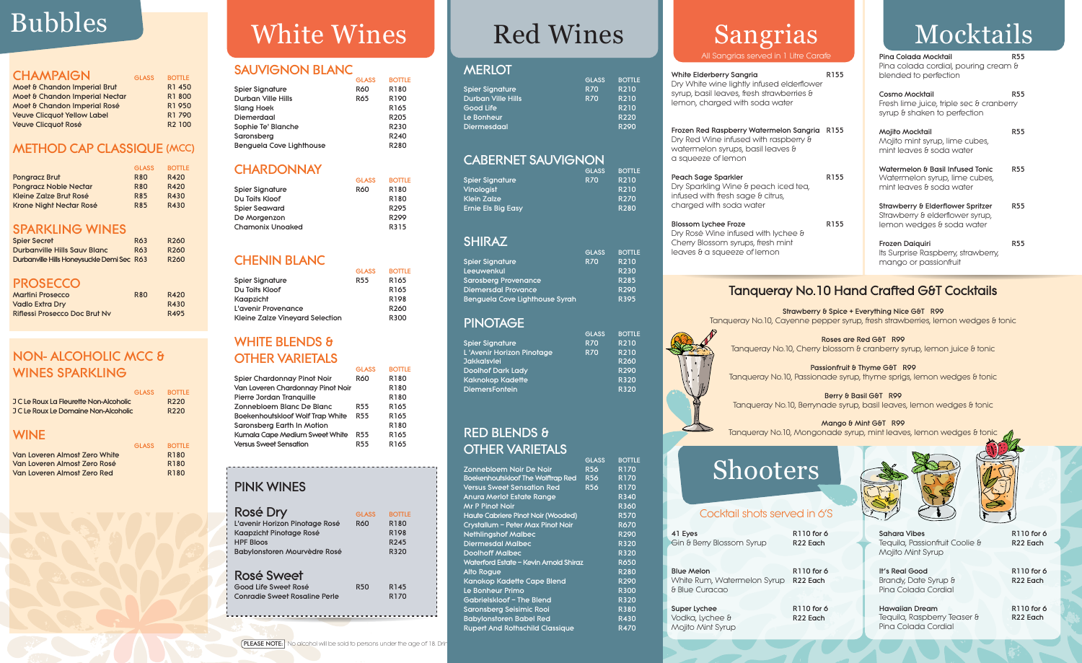|  | <b>CHAMPAIGN</b> |  |
|--|------------------|--|
|  |                  |  |

| Moet & Chandon Imperial Brut       | R1 450             |
|------------------------------------|--------------------|
| Moet & Chandon Imperial Nectar     | R1800              |
| Moet & Chandon Imperial Rosé       | R1 950             |
| <b>Veuve Clicquot Yellow Label</b> | R1 790             |
| <b>Veuve Clicquot Rosé</b>         | R <sub>2</sub> 100 |

GLASS BOTTLE

### **METHOD CAP CLASSIQUE (MCC)**

|                              | <b>GLASS</b> | <b>BOTTLE</b> |
|------------------------------|--------------|---------------|
| <b>Pongracz Brut</b>         | <b>R80</b>   | R420          |
| <b>Pongracz Noble Nectar</b> | <b>R80</b>   | R420          |
| Kleine Zalze Brut Rosé       | <b>R85</b>   | R430          |
| Krone Night Nectar Rosé      | <b>R85</b>   | <b>R430</b>   |

## SPARKLING WINES

| <b>Spier Secret</b>                        | R63 | R <sub>260</sub> |
|--------------------------------------------|-----|------------------|
| Durbanville Hills Sauv Blanc               | R63 | R <sub>260</sub> |
| Durbanville Hills Honeysuckle Demi Sec R63 |     | R <sub>260</sub> |

### **PROSECCO**

| <b>Martini Prosecco</b>       | <b>R80</b> | R420 |
|-------------------------------|------------|------|
| <b>Vadlo Extra Dry</b>        |            | R430 |
| Riflessi Prosecco Doc Brut Ny |            | R495 |

## NON- ALCOHOLIC MCC & WINES SPARKLING

|                                        | GLASS. | <b>BOTTLE</b>    |
|----------------------------------------|--------|------------------|
| J C Le Roux La Fleurette Non-Alcoholic |        | R <sub>220</sub> |
| J C Le Roux Le Domaine Non-Alcoholic   |        | R <sub>220</sub> |
|                                        |        |                  |
| <b>WINE</b>                            |        |                  |

## WHITE BLENDS & OTHER VARIETALS

|                               | <b>GLASS</b> | <b>BOTTLE</b>    |
|-------------------------------|--------------|------------------|
| Van Loveren Almost Zero White |              | R <sub>180</sub> |
| Van Loveren Almost Zero Rosé  |              | R <sub>180</sub> |
| Van Loveren Almost Zero Red   |              | R <sub>180</sub> |

# Bubbles White Wines

## SAUVIGNON BLANC

|                          | <b>GLASS</b> | <b>BOTTLE</b>    |
|--------------------------|--------------|------------------|
| Spier Signature          | <b>R60</b>   | R180             |
| Durban Ville Hills       | <b>R65</b>   | R <sub>190</sub> |
| Slang Hoek               |              | R <sub>165</sub> |
| Diemerdaal               |              | R <sub>205</sub> |
| Sophie Te' Blanche       |              | R230             |
| Saronsberg               |              | R <sub>240</sub> |
| Benguela Cove Lighthouse |              | R280             |
|                          |              |                  |

## **CHARDONNAY**

Sahara Vibes R110 for 6 Tequila, Passionfruit Coolie & R22 Each Mojito Mint Syrup

GLASS BOTTLE

Hawaiian Dream R110 for 6 Tequila, Raspberry Teaser & R22 Each Pina Colada Cordial



|                  | ႱႡႷჂჂ      | <b>BULLE</b>     |
|------------------|------------|------------------|
| Spier Signature  | <b>R60</b> | R180             |
| Du Toits Kloof   |            | R180             |
| Spier Seaward    |            | R <sub>295</sub> |
| De Morgenzon     |            | R <sub>299</sub> |
| Chamonix Unoaked |            | R315             |
|                  |            |                  |

## CHENIN BLANC

GLASS BOTTLE

Vodka, Lychee & R22 Each Mojito Mint Syrup

Super Lychee R110 for 6





|                                 | ႱႲႺႿ            | <b>BUILE</b>     |
|---------------------------------|-----------------|------------------|
| Spier Signature                 | R <sub>55</sub> | R <sub>165</sub> |
| Du Toits Kloof                  |                 | R <sub>165</sub> |
| Kaapzicht                       |                 | R <sub>198</sub> |
| L'avenir Provenance             |                 | R <sub>260</sub> |
| Kleine Zalze Vineyard Selection |                 | R300             |

Strawberry & Spice + Everything Nice G&T R99 Tanqueray No.10, Cayenne pepper syrup, fresh strawberries, lemon wedges & tonic

Roses are Red G&T R99 Tanqueray No.10, Cherry blossom & cranberry syrup, lemon juice & tonic

Passionfruit & Thyme G&T R99 Tanqueray No.10, Passionade syrup, thyme sprigs, lemon wedges & tonic

Berry & Basil G&T R99 Tanqueray No.10, Berrynade syrup, basil leaves, lemon wedges & tonic

Mango & Mint G&T R99 Tanqueray No.10, Mongonade syrup, mint leaves, lemon wedges & tonic

|                                         | <b>GLASS</b> | <b>BOTTLE</b>    |
|-----------------------------------------|--------------|------------------|
| Spier Chardonnay Pinot Noir             | <b>R60</b>   | R180             |
| Van Loveren Chardonnay Pinot Noir       |              | R180             |
| Pierre Jordan Tranquille                |              | R180             |
| Zonnebloem Blanc De Blanc               | <b>R55</b>   | R165             |
| <b>Boekenhoutskloof Wolf Trap White</b> | <b>R55</b>   | R <sub>165</sub> |
| Saronsberg Earth In Motion              |              | R180             |
| Kumala Cape Medium Sweet White          | <b>R55</b>   | R <sub>165</sub> |
| <b>Versus Sweet Sensation</b>           | <b>R55</b>   | R165             |
|                                         |              |                  |

## PINK WINES

| Rosé Dry<br>L'avenir Horizon Pinotage Rosé<br>Kaapzicht Pinotage Rosé<br><b>HPF Bloos</b><br>Babylonstoren Mourvèdre Rosé | GLASS<br><b>R60</b> | <b>BOTTLE</b><br>R180<br>R198<br>R <sub>245</sub><br>R320 |  |
|---------------------------------------------------------------------------------------------------------------------------|---------------------|-----------------------------------------------------------|--|
| Rosé Sweet<br>Good Life Sweet Rosé<br>Conradie Sweet Rosaline Perle                                                       | R50                 | R145<br>R170                                              |  |

It's Real Good R110 for 6 Brandy, Date Syrup & R22 Each Pina Colada Cordial

## Shooters

### Cocktail shots served in 6'S

Gin & Berry Blossom Syrup R22 Each

41 Eyes R110 for 6

Blue Melon R110 for 6 White Rum, Watermelon Syrup R22 Each

& Blue Curacao

## Mocktails

| Pina Colada Mocktail<br>Pina colada cordial, pouring cream &<br>blended to perfection             | R55        |
|---------------------------------------------------------------------------------------------------|------------|
| Cosmo Mocktail<br>Fresh lime juice, triple sec & cranberry<br>syrup & shaken to perfection        | <b>R55</b> |
| Mojito Mocktail<br>Mojito mint syrup, lime cubes,<br>mint leaves & soda water                     | <b>R55</b> |
| Watermelon & Basil Infused Tonic<br>Watermelon syrup, lime cubes,<br>mint leaves & soda water     | R55        |
| Strawberry & Elderflower Spritzer<br>Strawberry & elderflower syrup,<br>lemon wedges & soda water | <b>R55</b> |
| <b>Frozen Daiquiri</b><br>Its Surprise Raspberry, strawberry,<br>mango or passionfruit            | <b>R55</b> |

## Tanqueray No.10 Hand Crafted G&T Cocktails

## Sangrias

All Sangrias served in 1 Litre Carafe

| erberry Sangria<br>e wine lightly infused elderflower<br>asil leaves, fresh strawberries &<br>harged with soda water | R155 |
|----------------------------------------------------------------------------------------------------------------------|------|
| ed Raspberry Watermelon Sangria R155<br>Wine infused with raspberry &<br>elon syrups, basil leaves &<br>ze of lemon  |      |
| ge Sparkler<br>kling Wine & peach iced tea,<br>vith fresh sage & citrus,<br>with soda water                          | R155 |
| ychee Froze<br>Wine infused with lychee &<br>ossom syrups, fresh mint<br>a squeeze of lemon                          | R155 |

## Red Wines

### **MERLOT**

|                           | <b>GLASS</b> | <b>BOTTLE</b>     |
|---------------------------|--------------|-------------------|
| Spier Signature           | <b>R70</b>   | R210              |
| <b>Durban Ville Hills</b> | <b>R70</b>   | R210              |
| Good Life                 |              | <b>R210</b>       |
| Le Bonheur                |              | <b>R220</b>       |
| <b>Diermesdaal</b>        |              | R <sub>290</sub>  |
|                           |              |                   |
| <b>CABERNET SAUVIGNON</b> |              |                   |
|                           | <b>GLASS</b> | <b>BOTTLE</b>     |
| Spier Signature           | <b>R70</b>   | $\overline{R}210$ |
| Vinologist                |              | R210              |
| Klein Zalze               |              | <b>R270</b>       |
| <b>Ernie Els Big Easy</b> |              | <b>R280</b>       |
|                           |              |                   |
|                           |              |                   |
|                           |              |                   |

## SHIRAZ

|                                | <b>GLASS</b> | <b>BOTTLE</b>     |
|--------------------------------|--------------|-------------------|
| <b>Spier Signature</b>         | <b>R70</b>   | R <sub>2</sub> 10 |
| Leeuwenkul                     |              | <b>R230</b>       |
| <b>Sarosberg Provenance</b>    |              | R285              |
| <b>Diemersdal Provance</b>     |              | R290              |
| Benguela Cove Lighthouse Syrah |              | <b>R395</b>       |

## PINOTAGE

| Spier Signature           | <b>R70</b> | R210        |
|---------------------------|------------|-------------|
| L'Avenir Horizon Pinotage | <b>R70</b> | R210        |
| Jakkalsvlei               |            | R260        |
| <b>Doolhof Dark Lady</b>  |            | <b>R290</b> |
| Kaknokop Kadette          |            | <b>R320</b> |
| <b>DiemersFontein</b>     |            | R320        |

## RED BLENDS & OTHER VARIETALS

|                                           | <b>GLASS</b> | <b>BOTTLE</b>               |
|-------------------------------------------|--------------|-----------------------------|
| Zonnebloem Noir De Noir                   | <b>R56</b>   | R170                        |
| <b>Boekenhoutskloof The Wolftrap Red</b>  | <b>R56</b>   | <b>R170</b>                 |
| Versus Sweet Sensation Red                | <b>R56</b>   | R170                        |
| Anura Merlot Estate Range                 |              | <b>R340</b>                 |
| Mr P Pinot Noir                           |              | <b>R360</b>                 |
| <b>Haute Cabriere Pinot Noir (Wooded)</b> |              | <b>R570</b>                 |
| Crystallum - Peter Max Pinot Noir         |              | <b>R670</b>                 |
| <b>Nethlingshof Malbec</b>                |              | $\overline{\mathsf{R}}$ 290 |
| <b>Diermesdal Malbec</b>                  |              | <b>R320</b>                 |
| <b>Doolhoff Malbec</b>                    |              | <b>R320</b>                 |
| Waterford Estate - Kevin Arnold Shiraz    |              | <b>R650</b>                 |
| Alto Rogue                                |              | <b>R280</b>                 |
| Kanokop Kadette Cape Blend                |              | R <sub>290</sub>            |
| Le Bonheur Primo                          |              | <b>R300</b>                 |
| Gabrielskloof – The Blend                 |              | R320                        |
| <b>Saronsberg Seisimic Rooi</b>           |              | <b>R380</b>                 |
| <b>Babylonstoren Babel Red</b>            |              | <b>R430</b>                 |
| <b>Rupert And Rothschild Classique</b>    |              | <b>R470</b>                 |
|                                           |              |                             |

White Eld Dry White syrup, bc lemon, cl

Frozen Re Dry Red waterme a squee

Peach Sa Dry Sparl infused v charged

Blossom I Dry Rosé Cherry Blo leaves &



**BOTTLE**